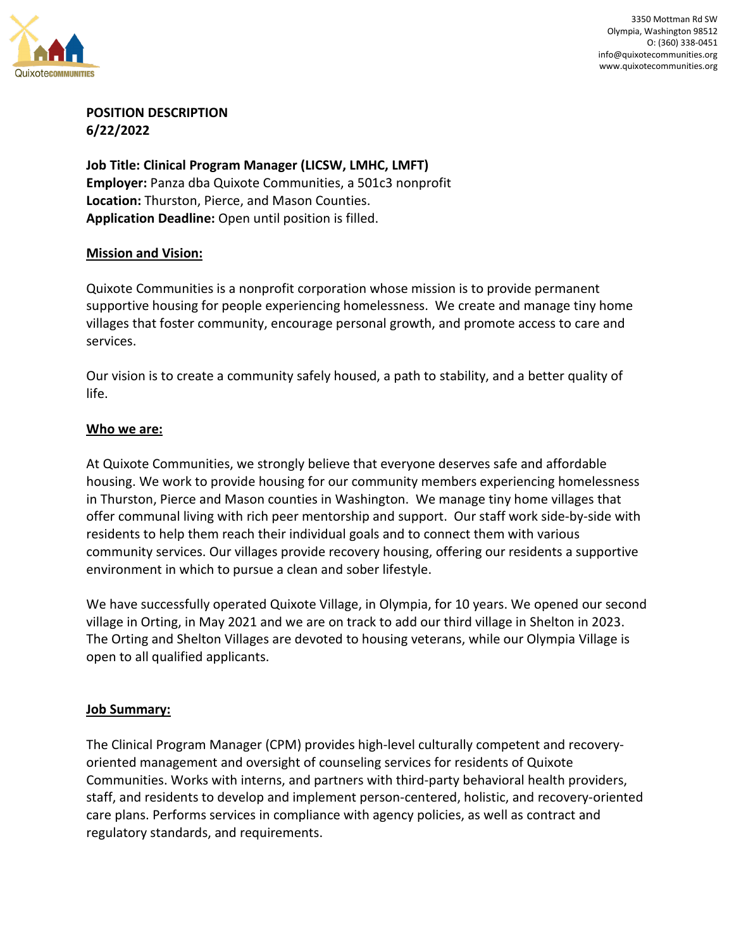

3350 Mottman Rd SW Olympia, Washington 98512 O: (360) 338-0451 info@quixotecommunities.org www.quixotecommunities.org

## **POSITION DESCRIPTION 6/22/2022**

**Job Title: Clinical Program Manager (LICSW, LMHC, LMFT) Employer:** Panza dba Quixote Communities, a 501c3 nonprofit **Location:** Thurston, Pierce, and Mason Counties. **Application Deadline:** Open until position is filled.

#### **Mission and Vision:**

Quixote Communities is a nonprofit corporation whose mission is to provide permanent supportive housing for people experiencing homelessness. We create and manage tiny home villages that foster community, encourage personal growth, and promote access to care and services.

Our vision is to create a community safely housed, a path to stability, and a better quality of life.

## **Who we are:**

At Quixote Communities, we strongly believe that everyone deserves safe and affordable housing. We work to provide housing for our community members experiencing homelessness in Thurston, Pierce and Mason counties in Washington. We manage tiny home villages that offer communal living with rich peer mentorship and support. Our staff work side-by-side with residents to help them reach their individual goals and to connect them with various community services. Our villages provide recovery housing, offering our residents a supportive environment in which to pursue a clean and sober lifestyle.

We have successfully operated Quixote Village, in Olympia, for 10 years. We opened our second village in Orting, in May 2021 and we are on track to add our third village in Shelton in 2023. The Orting and Shelton Villages are devoted to housing veterans, while our Olympia Village is open to all qualified applicants.

#### **Job Summary:**

The Clinical Program Manager (CPM) provides high-level culturally competent and recoveryoriented management and oversight of counseling services for residents of Quixote Communities. Works with interns, and partners with third-party behavioral health providers, staff, and residents to develop and implement person-centered, holistic, and recovery-oriented care plans. Performs services in compliance with agency policies, as well as contract and regulatory standards, and requirements.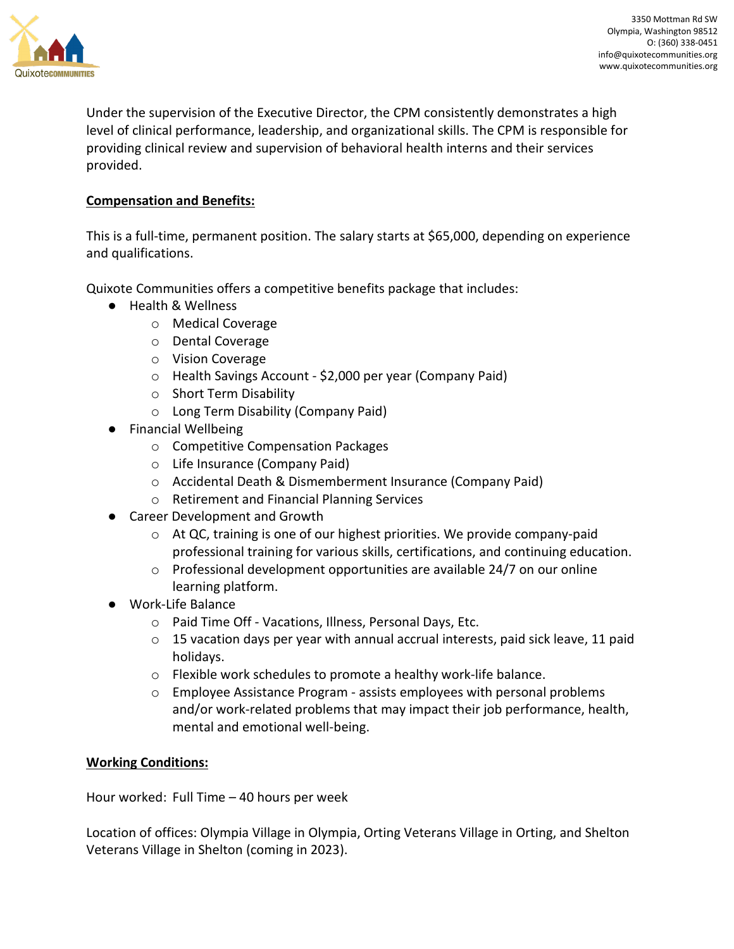

Under the supervision of the Executive Director, the CPM consistently demonstrates a high level of clinical performance, leadership, and organizational skills. The CPM is responsible for providing clinical review and supervision of behavioral health interns and their services provided.

# **Compensation and Benefits:**

This is a full-time, permanent position. The salary starts at \$65,000, depending on experience and qualifications.

Quixote Communities offers a competitive benefits package that includes:

- Health & Wellness
	- o Medical Coverage
	- o Dental Coverage
	- o Vision Coverage
	- o Health Savings Account \$2,000 per year (Company Paid)
	- o Short Term Disability
	- o Long Term Disability (Company Paid)
- Financial Wellbeing
	- o Competitive Compensation Packages
	- o Life Insurance (Company Paid)
	- o Accidental Death & Dismemberment Insurance (Company Paid)
	- o Retirement and Financial Planning Services
- Career Development and Growth
	- o At QC, training is one of our highest priorities. We provide company-paid professional training for various skills, certifications, and continuing education.
	- o Professional development opportunities are available 24/7 on our online learning platform.
- Work-Life Balance
	- o Paid Time Off Vacations, Illness, Personal Days, Etc.
	- $\circ$  15 vacation days per year with annual accrual interests, paid sick leave, 11 paid holidays.
	- o Flexible work schedules to promote a healthy work-life balance.
	- o Employee Assistance Program assists employees with personal problems and/or work-related problems that may impact their job performance, health, mental and emotional well-being.

# **Working Conditions:**

Hour worked: Full Time – 40 hours per week

Location of offices: Olympia Village in Olympia, Orting Veterans Village in Orting, and Shelton Veterans Village in Shelton (coming in 2023).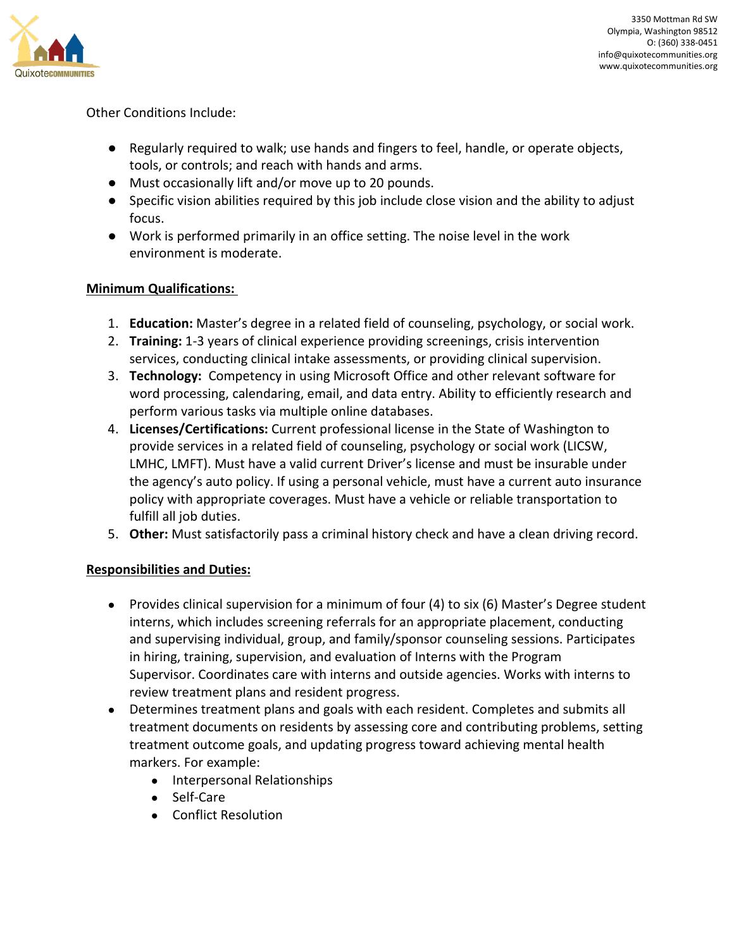

## Other Conditions Include:

- Regularly required to walk; use hands and fingers to feel, handle, or operate objects, tools, or controls; and reach with hands and arms.
- Must occasionally lift and/or move up to 20 pounds.
- Specific vision abilities required by this job include close vision and the ability to adjust focus.
- Work is performed primarily in an office setting. The noise level in the work environment is moderate.

## **Minimum Qualifications:**

- 1. **Education:** Master's degree in a related field of counseling, psychology, or social work.
- 2. **Training:** 1-3 years of clinical experience providing screenings, crisis intervention services, conducting clinical intake assessments, or providing clinical supervision.
- 3. **Technology:** Competency in using Microsoft Office and other relevant software for word processing, calendaring, email, and data entry. Ability to efficiently research and perform various tasks via multiple online databases.
- 4. **Licenses/Certifications:** Current professional license in the State of Washington to provide services in a related field of counseling, psychology or social work (LICSW, LMHC, LMFT). Must have a valid current Driver's license and must be insurable under the agency's auto policy. If using a personal vehicle, must have a current auto insurance policy with appropriate coverages. Must have a vehicle or reliable transportation to fulfill all job duties.
- 5. **Other:** Must satisfactorily pass a criminal history check and have a clean driving record.

# **Responsibilities and Duties:**

- Provides clinical supervision for a minimum of four (4) to six (6) Master's Degree student interns, which includes screening referrals for an appropriate placement, conducting and supervising individual, group, and family/sponsor counseling sessions. Participates in hiring, training, supervision, and evaluation of Interns with the Program Supervisor. Coordinates care with interns and outside agencies. Works with interns to review treatment plans and resident progress.
- Determines treatment plans and goals with each resident. Completes and submits all treatment documents on residents by assessing core and contributing problems, setting treatment outcome goals, and updating progress toward achieving mental health markers. For example:
	- Interpersonal Relationships
	- Self-Care
	- Conflict Resolution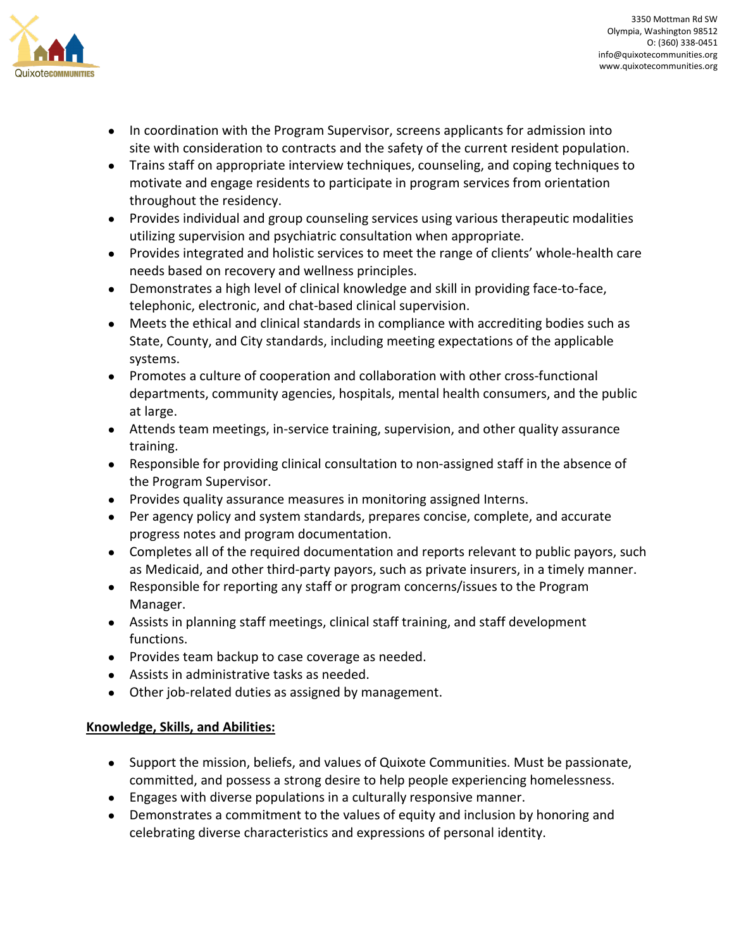

- In coordination with the Program Supervisor, screens applicants for admission into site with consideration to contracts and the safety of the current resident population.
- Trains staff on appropriate interview techniques, counseling, and coping techniques to motivate and engage residents to participate in program services from orientation throughout the residency.
- Provides individual and group counseling services using various therapeutic modalities utilizing supervision and psychiatric consultation when appropriate.
- Provides integrated and holistic services to meet the range of clients' whole-health care needs based on recovery and wellness principles.
- Demonstrates a high level of clinical knowledge and skill in providing face-to-face, telephonic, electronic, and chat-based clinical supervision.
- Meets the ethical and clinical standards in compliance with accrediting bodies such as State, County, and City standards, including meeting expectations of the applicable systems.
- Promotes a culture of cooperation and collaboration with other cross-functional departments, community agencies, hospitals, mental health consumers, and the public at large.
- Attends team meetings, in-service training, supervision, and other quality assurance training.
- Responsible for providing clinical consultation to non-assigned staff in the absence of the Program Supervisor.
- Provides quality assurance measures in monitoring assigned Interns.
- Per agency policy and system standards, prepares concise, complete, and accurate progress notes and program documentation.
- Completes all of the required documentation and reports relevant to public payors, such as Medicaid, and other third-party payors, such as private insurers, in a timely manner.
- Responsible for reporting any staff or program concerns/issues to the Program Manager.
- Assists in planning staff meetings, clinical staff training, and staff development functions.
- Provides team backup to case coverage as needed.
- Assists in administrative tasks as needed.
- Other job-related duties as assigned by management.

# **Knowledge, Skills, and Abilities:**

- Support the mission, beliefs, and values of Quixote Communities. Must be passionate, committed, and possess a strong desire to help people experiencing homelessness.
- Engages with diverse populations in a culturally responsive manner.
- Demonstrates a commitment to the values of equity and inclusion by honoring and celebrating diverse characteristics and expressions of personal identity.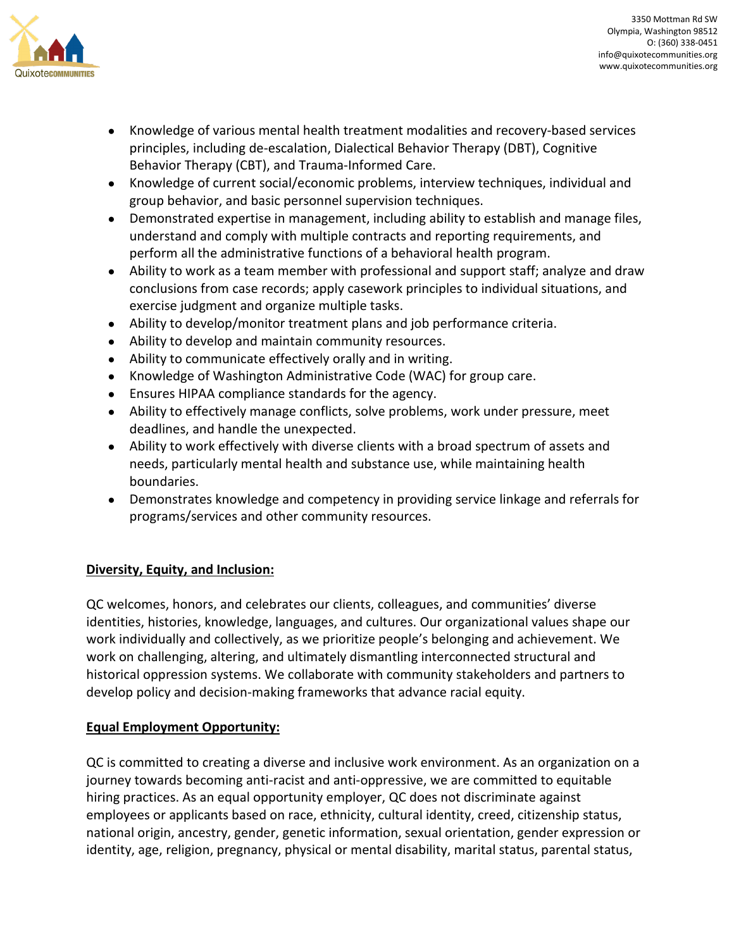

- Knowledge of various mental health treatment modalities and recovery-based services principles, including de-escalation, Dialectical Behavior Therapy (DBT), Cognitive Behavior Therapy (CBT), and Trauma-Informed Care.
- Knowledge of current social/economic problems, interview techniques, individual and group behavior, and basic personnel supervision techniques.
- Demonstrated expertise in management, including ability to establish and manage files, understand and comply with multiple contracts and reporting requirements, and perform all the administrative functions of a behavioral health program.
- Ability to work as a team member with professional and support staff; analyze and draw conclusions from case records; apply casework principles to individual situations, and exercise judgment and organize multiple tasks.
- Ability to develop/monitor treatment plans and job performance criteria.
- Ability to develop and maintain community resources.
- Ability to communicate effectively orally and in writing.
- Knowledge of Washington Administrative Code (WAC) for group care.
- Ensures HIPAA compliance standards for the agency.
- Ability to effectively manage conflicts, solve problems, work under pressure, meet deadlines, and handle the unexpected.
- Ability to work effectively with diverse clients with a broad spectrum of assets and needs, particularly mental health and substance use, while maintaining health boundaries.
- Demonstrates knowledge and competency in providing service linkage and referrals for programs/services and other community resources.

# **Diversity, Equity, and Inclusion:**

QC welcomes, honors, and celebrates our clients, colleagues, and communities' diverse identities, histories, knowledge, languages, and cultures. Our organizational values shape our work individually and collectively, as we prioritize people's belonging and achievement. We work on challenging, altering, and ultimately dismantling interconnected structural and historical oppression systems. We collaborate with community stakeholders and partners to develop policy and decision-making frameworks that advance racial equity.

# **Equal Employment Opportunity:**

QC is committed to creating a diverse and inclusive work environment. As an organization on a journey towards becoming anti-racist and anti-oppressive, we are committed to equitable hiring practices. As an equal opportunity employer, QC does not discriminate against employees or applicants based on race, ethnicity, cultural identity, creed, citizenship status, national origin, ancestry, gender, genetic information, sexual orientation, gender expression or identity, age, religion, pregnancy, physical or mental disability, marital status, parental status,